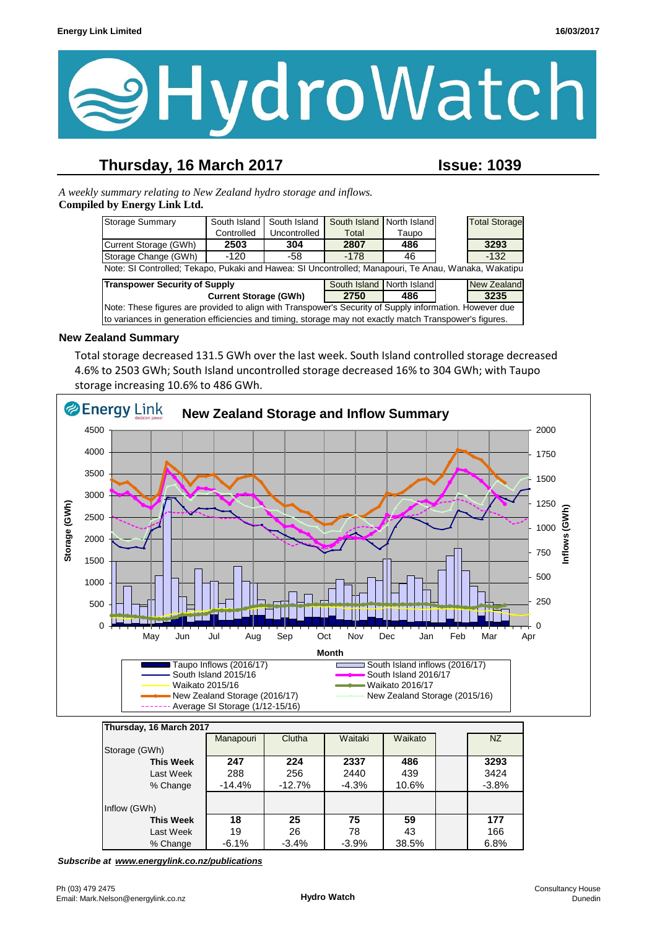

### **Thursday, 16 March 2017 Issue: 1039**

*A weekly summary relating to New Zealand hydro storage and inflows.*  **Compiled by Energy Link Ltd.**

| Storage Summary                                                                                         | South Island | South Island | South Island              | North Island |  | <b>Total Storage</b> |  |
|---------------------------------------------------------------------------------------------------------|--------------|--------------|---------------------------|--------------|--|----------------------|--|
|                                                                                                         | Controlled   | Uncontrolled | Total                     | Taupo        |  |                      |  |
| Current Storage (GWh)                                                                                   | 2503         | 304          | 2807                      | 486          |  | 3293                 |  |
| Storage Change (GWh)                                                                                    | -120         | -58          | $-178$                    | 46           |  | $-132$               |  |
| Note: SI Controlled; Tekapo, Pukaki and Hawea: SI Uncontrolled; Manapouri, Te Anau, Wanaka, Wakatipu    |              |              |                           |              |  |                      |  |
| <b>Transpower Security of Supply</b>                                                                    |              |              | South Island North Island |              |  | <b>New Zealand</b>   |  |
| <b>Current Storage (GWh)</b>                                                                            |              |              | 2750                      | 486          |  | 3235                 |  |
| Note: These figures are provided to align with Transpower's Security of Supply information. However due |              |              |                           |              |  |                      |  |
| to variances in generation efficiencies and timing, storage may not exactly match Transpower's figures. |              |              |                           |              |  |                      |  |

#### **New Zealand Summary**

Total storage decreased 131.5 GWh over the last week. South Island controlled storage decreased 4.6% to 2503 GWh; South Island uncontrolled storage decreased 16% to 304 GWh; with Taupo storage increasing 10.6% to 486 GWh.



| Thursday, 16 March 2017 |           |           |         |         |  |         |
|-------------------------|-----------|-----------|---------|---------|--|---------|
|                         | Manapouri | Clutha    | Waitaki | Waikato |  | NZ      |
| Storage (GWh)           |           |           |         |         |  |         |
| <b>This Week</b>        | 247       | 224       | 2337    | 486     |  | 3293    |
| Last Week               | 288       | 256       | 2440    | 439     |  | 3424    |
| % Change                | $-14.4%$  | $-12.7\%$ | $-4.3%$ | 10.6%   |  | $-3.8%$ |
|                         |           |           |         |         |  |         |
| Inflow (GWh)            |           |           |         |         |  |         |
| This Week               | 18        | 25        | 75      | 59      |  | 177     |
| Last Week               | 19        | 26        | 78      | 43      |  | 166     |
| % Change                | $-6.1%$   | $-3.4%$   | $-3.9%$ | 38.5%   |  | 6.8%    |

*Subscribe at www.energylink.co.nz/publications*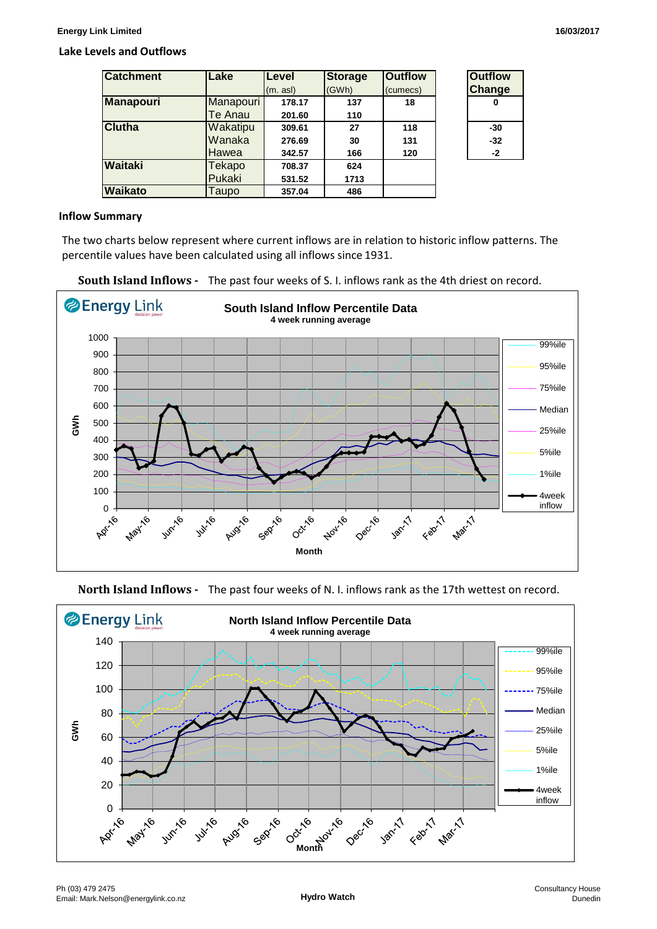#### **Lake Levels and Outflows**

| <b>Catchment</b> | Lake      | Level    | <b>Storage</b> | <b>Outflow</b> | <b>Outflow</b> |
|------------------|-----------|----------|----------------|----------------|----------------|
|                  |           | (m. asl) | (GWh)          | (cumecs)       | <b>Change</b>  |
| <b>Manapouri</b> | Manapouri | 178.17   | 137            | 18             | 0              |
|                  | Te Anau   | 201.60   | 110            |                |                |
| <b>Clutha</b>    | Wakatipu  | 309.61   | 27             | 118            | $-30$          |
|                  | Wanaka    | 276.69   | 30             | 131            | $-32$          |
|                  | Hawea     | 342.57   | 166            | 120            | $-2$           |
| Waitaki          | Tekapo    | 708.37   | 624            |                |                |
|                  | Pukaki    | 531.52   | 1713           |                |                |
| <b>Waikato</b>   | Taupo     | 357.04   | 486            |                |                |

#### **Inflow Summary**

The two charts below represent where current inflows are in relation to historic inflow patterns. The percentile values have been calculated using all inflows since 1931.





**North Island Inflows -** The past four weeks of N. I. inflows rank as the 17th wettest on record.

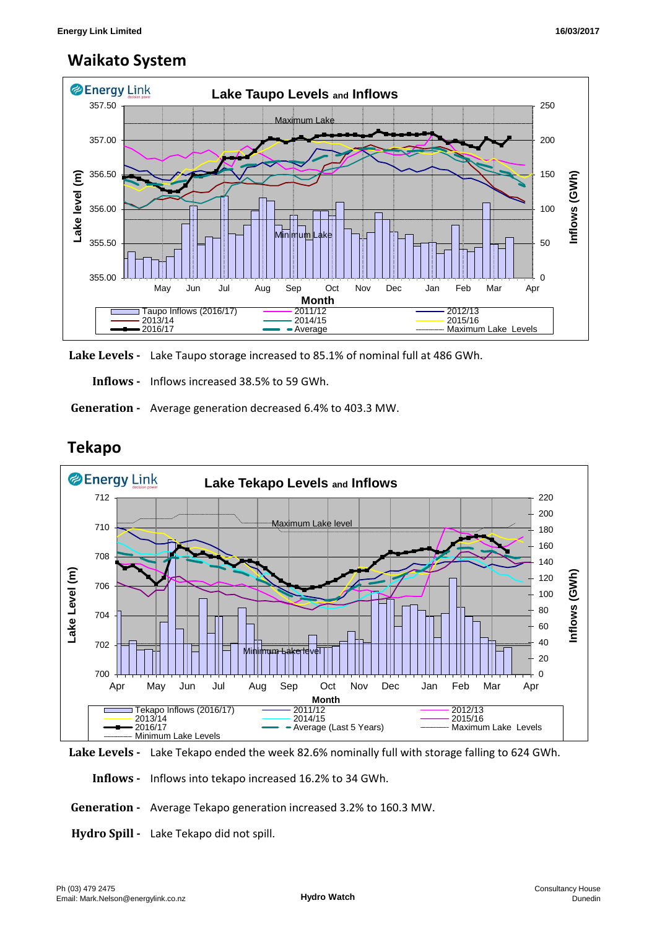## **Waikato System**



**Lake Levels -** Lake Taupo storage increased to 85.1% of nominal full at 486 GWh.

 **Inflows -** Inflows increased 38.5% to 59 GWh.

 **Generation -** Average generation decreased 6.4% to 403.3 MW.



# **Tekapo**

**Lake Levels -** Lake Tekapo ended the week 82.6% nominally full with storage falling to 624 GWh.

 **Inflows -** Inflows into tekapo increased 16.2% to 34 GWh.

 **Generation -** Average Tekapo generation increased 3.2% to 160.3 MW.

**Hydro Spill -** Lake Tekapo did not spill.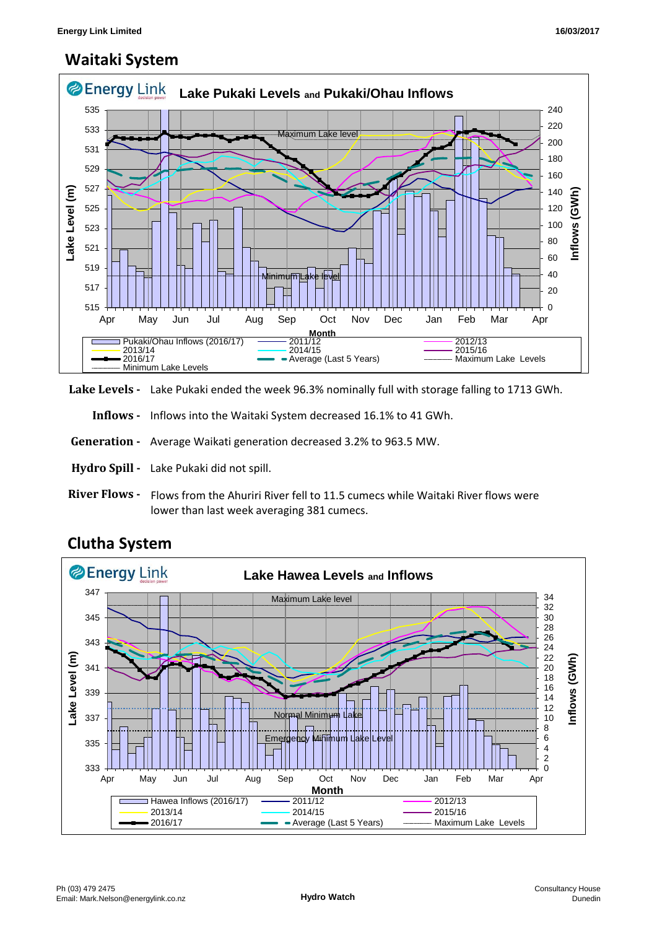## **Waitaki System**



**Lake Levels -** Lake Pukaki ended the week 96.3% nominally full with storage falling to 1713 GWh.

 **Inflows -** Inflows into the Waitaki System decreased 16.1% to 41 GWh.

- **Generation** Average Waikati generation decreased 3.2% to 963.5 MW.
- **Hydro Spill** Lake Pukaki did not spill.
- **River Flows**  Flows from the Ahuriri River fell to 11.5 cumecs while Waitaki River flows were lower than last week averaging 381 cumecs.



### **Clutha System**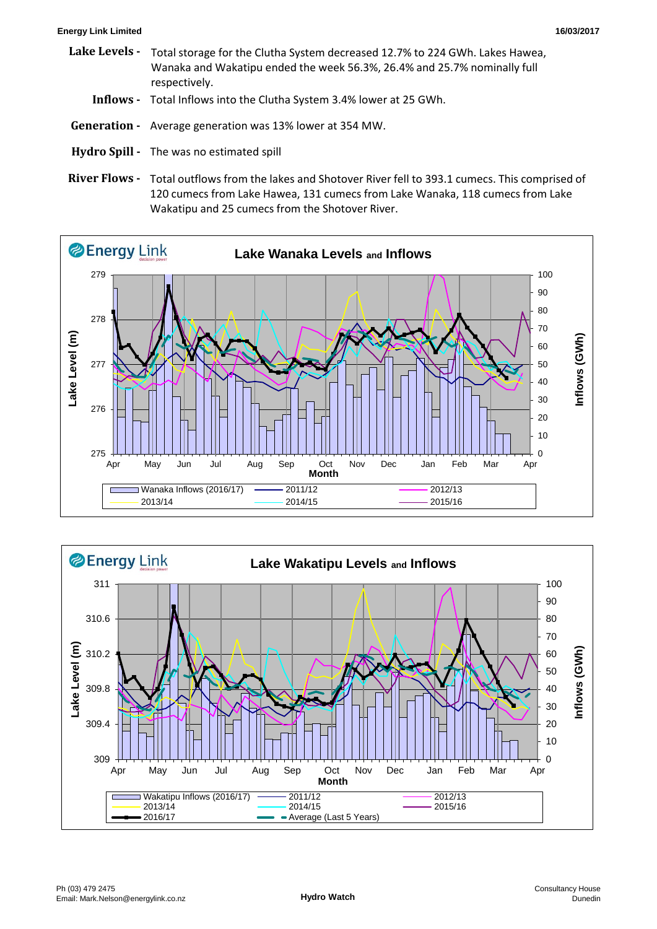#### **Energy Link Limited 16/03/2017**

- **Lake Levels Inflows -** Total Inflows into the Clutha System 3.4% lower at 25 GWh.  **Generation -** Average generation was 13% lower at 354 MW. Total storage for the Clutha System decreased 12.7% to 224 GWh. Lakes Hawea, Wanaka and Wakatipu ended the week 56.3%, 26.4% and 25.7% nominally full respectively.
- **Hydro Spill** The was no estimated spill
- River Flows Total outflows from the lakes and Shotover River fell to 393.1 cumecs. This comprised of 120 cumecs from Lake Hawea, 131 cumecs from Lake Wanaka, 118 cumecs from Lake Wakatipu and 25 cumecs from the Shotover River.